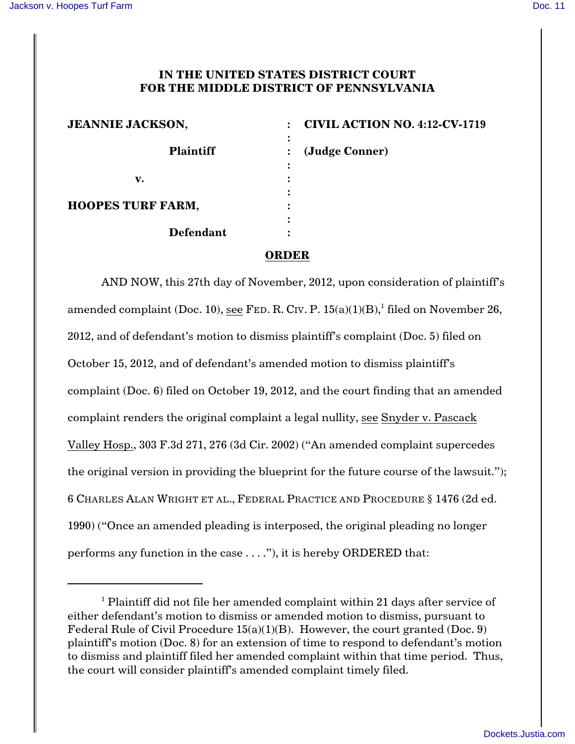## **IN THE UNITED STATES DISTRICT COURT FOR THE MIDDLE DISTRICT OF PENNSYLVANIA**

| <b>JEANNIE JACKSON,</b>       | <b>CIVIL ACTION NO. 4:12-CV-1719</b> |
|-------------------------------|--------------------------------------|
| <b>Plaintiff</b>              | (Judge Conner)                       |
| ٠                             |                                      |
| v.                            |                                      |
|                               |                                      |
| <b>HOOPES TURF FARM,</b><br>٠ |                                      |
| ٠                             |                                      |
| <b>Defendant</b>              |                                      |

## **ORDER**

AND NOW, this 27th day of November, 2012, upon consideration of plaintiff's amended complaint (Doc. 10), see FED. R. CIV. P.  $15(a)(1)(B)$ , filed on November 26, 2012, and of defendant's motion to dismiss plaintiff's complaint (Doc. 5) filed on October 15, 2012, and of defendant's amended motion to dismiss plaintiff's complaint (Doc. 6) filed on October 19, 2012, and the court finding that an amended complaint renders the original complaint a legal nullity, see Snyder v. Pascack Valley Hosp., 303 F.3d 271, 276 (3d Cir. 2002) ("An amended complaint supercedes the original version in providing the blueprint for the future course of the lawsuit."); 6 CHARLES ALAN WRIGHT ET AL., FEDERAL PRACTICE AND PROCEDURE § 1476 (2d ed. 1990) ("Once an amended pleading is interposed, the original pleading no longer performs any function in the case . . . ."), it is hereby ORDERED that:

 $<sup>1</sup>$  Plaintiff did not file her amended complaint within 21 days after service of</sup> either defendant's motion to dismiss or amended motion to dismiss, pursuant to Federal Rule of Civil Procedure  $15(a)(1)(B)$ . However, the court granted (Doc. 9) plaintiff's motion (Doc. 8) for an extension of time to respond to defendant's motion to dismiss and plaintiff filed her amended complaint within that time period. Thus, the court will consider plaintiff's amended complaint timely filed.